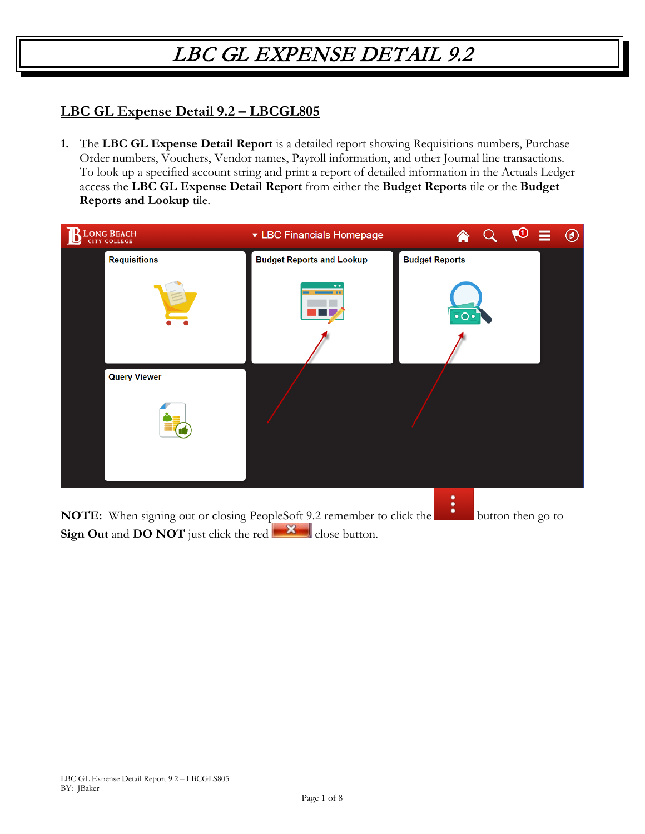#### **LBC GL Expense Detail 9.2 – LBCGL805**

**1.** The **LBC GL Expense Detail Report** is a detailed report showing Requisitions numbers, Purchase Order numbers, Vouchers, Vendor names, Payroll information, and other Journal line transactions. To look up a specified account string and print a report of detailed information in the Actuals Ledger access the **LBC GL Expense Detail Report** from either the **Budget Reports** tile or the **Budget Reports and Lookup** tile.

| LONG BEACH          | ▼ LBC Financials Homepage                                              | $^\circledR$           |
|---------------------|------------------------------------------------------------------------|------------------------|
| <b>Requisitions</b> | <b>Budget Reports and Lookup</b>                                       | <b>Budget Reports</b>  |
|                     |                                                                        | $\cdot$ o $\cdot$      |
| <b>Query Viewer</b> |                                                                        |                        |
|                     |                                                                        |                        |
|                     | NOTE: When signing out or closing PeopleSoft 9.2 remember to click the | ٠<br>button then go to |

**Sign Out** and **DO NOT** just click the red  $\mathbf{X}$  close button.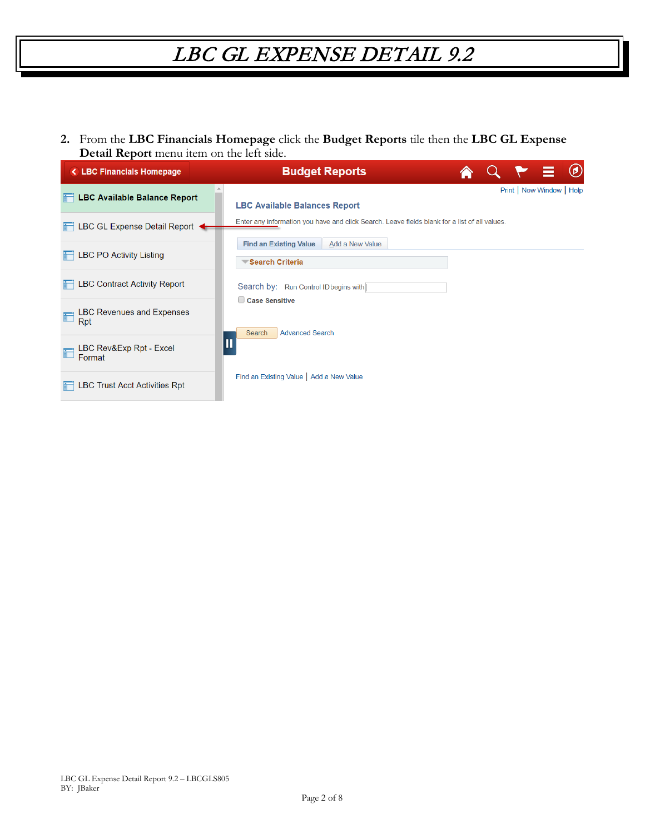**2.** From the **LBC Financials Homepage** click the **Budget Reports** tile then the **LBC GL Expense Detail Report** menu item on the left side.

| <b>&lt; LBC Financials Homepage</b>           | $^\copyright$<br><b>E</b><br><b>Budget Reports</b>                                            |
|-----------------------------------------------|-----------------------------------------------------------------------------------------------|
| <b>LBC Available Balance Report</b>           | Print   New Window   Help<br><b>LBC Available Balances Report</b>                             |
| LBC GL Expense Detail Report                  | Enter any information you have and click Search. Leave fields blank for a list of all values. |
| <b>LBC PO Activity Listing</b>                | Add a New Value<br><b>Find an Existing Value</b><br>Search Criteria                           |
| <b>LBC Contract Activity Report</b>           | Search by: Run Control ID begins with                                                         |
| <b>LBC Revenues and Expenses</b><br>id<br>Rpt | Case Sensitive<br><b>Advanced Search</b><br>Search                                            |
| LBC Rev&Exp Rpt - Excel<br>Format             | П                                                                                             |
| <b>LBC Trust Acct Activities Rpt</b>          | Find an Existing Value   Add a New Value                                                      |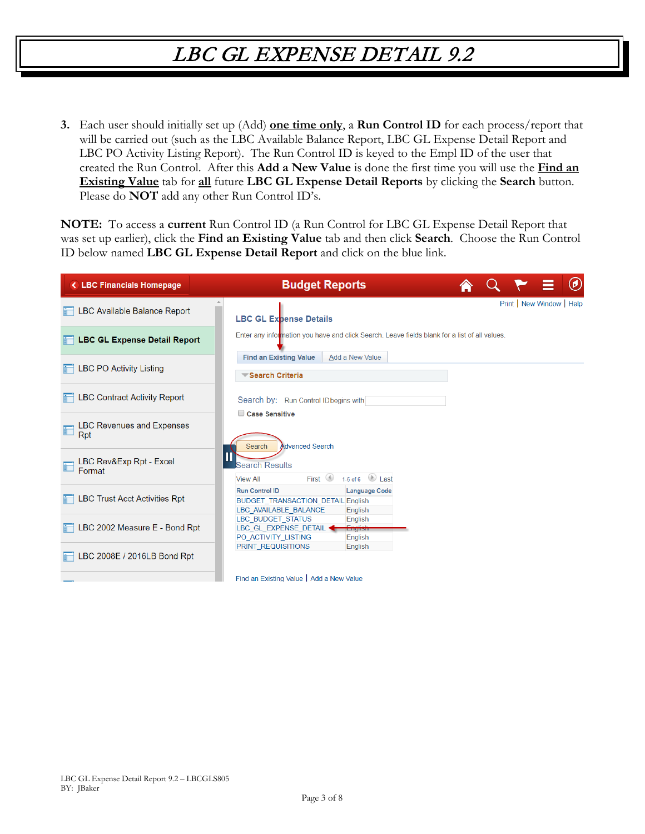**3.** Each user should initially set up (Add) **one time only**, a **Run Control ID** for each process/report that will be carried out (such as the LBC Available Balance Report, LBC GL Expense Detail Report and LBC PO Activity Listing Report). The Run Control ID is keyed to the Empl ID of the user that created the Run Control. After this **Add a New Value** is done the first time you will use the **Find an Existing Value** tab for **all** future **LBC GL Expense Detail Reports** by clicking the **Search** button. Please do **NOT** add any other Run Control ID's.

**NOTE:** To access a **current** Run Control ID (a Run Control for LBC GL Expense Detail Report that was set up earlier), click the **Find an Existing Value** tab and then click **Search**. Choose the Run Control ID below named **LBC GL Expense Detail Report** and click on the blue link.

| < LBC Financials Homepage               | <b>Budget Reports</b>                                                                                                         | $\circledast$             |
|-----------------------------------------|-------------------------------------------------------------------------------------------------------------------------------|---------------------------|
| LBC Available Balance Report            | <b>LBC GL Expense Details</b>                                                                                                 | Print   New Window   Help |
| <b>LBC GL Expense Detail Report</b>     | Enter any information you have and click Search. Leave fields blank for a list of all values.                                 |                           |
| <b>LBC PO Activity Listing</b>          | Add a New Value<br><b>Find an Existing Value</b><br>Search Criteria                                                           |                           |
| <b>LBC Contract Activity Report</b>     | Search by: Run Control ID begins with<br>Case Sensitive                                                                       |                           |
| <b>LBC Revenues and Expenses</b><br>Rpt | Advanced Search<br>Search                                                                                                     |                           |
| LBC Rev&Exp Rpt - Excel<br>Format       | <b>Search Results</b><br>1-6 of 6 $\Box$ Last<br>First $\circledcirc$<br><b>View All</b>                                      |                           |
| <b>LBC Trust Acct Activities Rpt</b>    | <b>Language Code</b><br><b>Run Control ID</b><br><b>BUDGET TRANSACTION DETAIL English</b><br>LBC AVAILABLE BALANCE<br>English |                           |
| LBC 2002 Measure E - Bond Rpt           | <b>LBC BUDGET STATUS</b><br>English<br><b>English</b><br>LBC GL EXPENSE DETAIL +<br>PO ACTIVITY LISTING<br>English            |                           |
| LBC 2008E / 2016LB Bond Rpt             | PRINT REQUISITIONS<br>English                                                                                                 |                           |
|                                         | Find an Existing Value   Add a New Value                                                                                      |                           |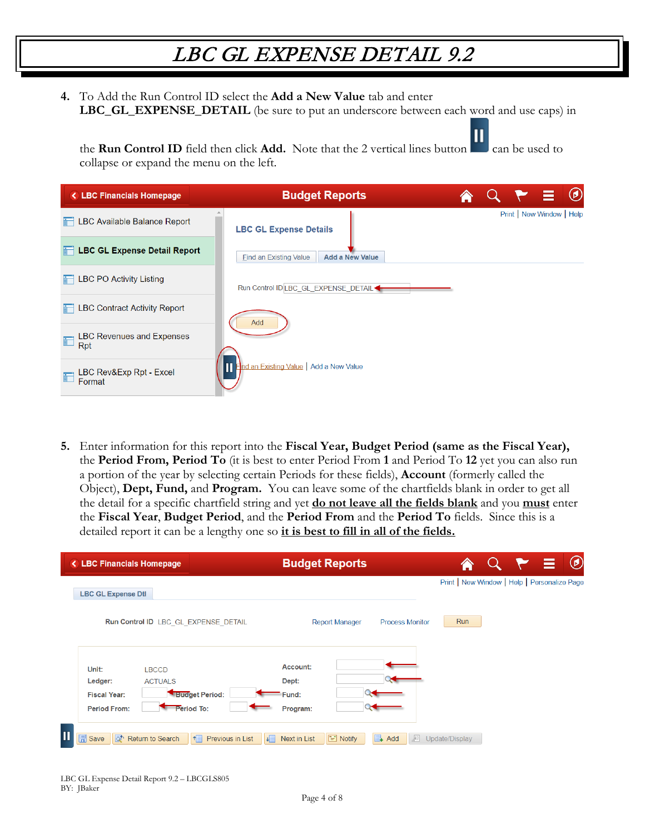**4.** To Add the Run Control ID select the **Add a New Value** tab and enter **LBC GL EXPENSE DETAIL** (be sure to put an underscore between each word and use caps) in

the **Run Control ID** field then click **Add.** Note that the 2 vertical lines button can be used to collapse or expand the menu on the left.

| <b>&lt; LBC Financials Homepage</b>          | <b>Budget Reports</b>                                   |  |                           | $\circledcirc$ |
|----------------------------------------------|---------------------------------------------------------|--|---------------------------|----------------|
| LBC Available Balance Report                 | <b>LBC GL Expense Details</b>                           |  | Print   New Window   Help |                |
| <b>LBC GL Expense Detail Report</b>          | <b>Find an Existing Value</b><br><b>Add a New Value</b> |  |                           |                |
| <b>LBC PO Activity Listing</b>               | Run Control ID LBC_GL_EXPENSE_DETAIL<                   |  |                           |                |
| <b>LBC Contract Activity Report</b>          | Add                                                     |  |                           |                |
| <b>LBC Revenues and Expenses</b><br>F<br>Rpt |                                                         |  |                           |                |
| LBC Rev&Exp Rpt - Excel<br>Format            | <b>The Existing Value</b> Add a New Value               |  |                           |                |

**5.** Enter information for this report into the **Fiscal Year, Budget Period (same as the Fiscal Year),**  the **Period From, Period To** (it is best to enter Period From **1** and Period To **12** yet you can also run a portion of the year by selecting certain Periods for these fields), **Account** (formerly called the Object), **Dept, Fund,** and **Program.** You can leave some of the chartfields blank in order to get all the detail for a specific chartfield string and yet **do not leave all the fields blank** and you **must** enter the **Fiscal Year**, **Budget Period**, and the **Period From** and the **Period To** fields. Since this is a detailed report it can be a lengthy one so **it is best to fill in all of the fields.**

| <b>&lt; LBC Financials Homepage</b>                   |                                      | <b>Budget Reports</b>                                           | $Q \times \equiv 0$                          |
|-------------------------------------------------------|--------------------------------------|-----------------------------------------------------------------|----------------------------------------------|
| <b>LBC GL Expense Dtl</b>                             |                                      |                                                                 | Print   New Window   Help   Personalize Page |
|                                                       | Run Control ID LBC GL EXPENSE DETAIL | <b>Process Monitor</b><br><b>Report Manager</b>                 | Run                                          |
| Unit:                                                 | <b>LBCCD</b>                         | Account:                                                        |                                              |
| Ledger:<br><b>Fiscal Year:</b>                        | <b>ACTUALS</b><br>Budget Period:     | Dept:<br>Fund:                                                  |                                              |
| <b>Period From:</b>                                   | Period To:                           | Program:                                                        |                                              |
| Π<br>o <sup>t</sup> Return to Search<br><b>日</b> Save | Previous in List<br>$\uparrow$       | $\equiv$ Notify<br>廻<br>Next in List<br>$\Box$ Add<br><b>JE</b> | Update/Display                               |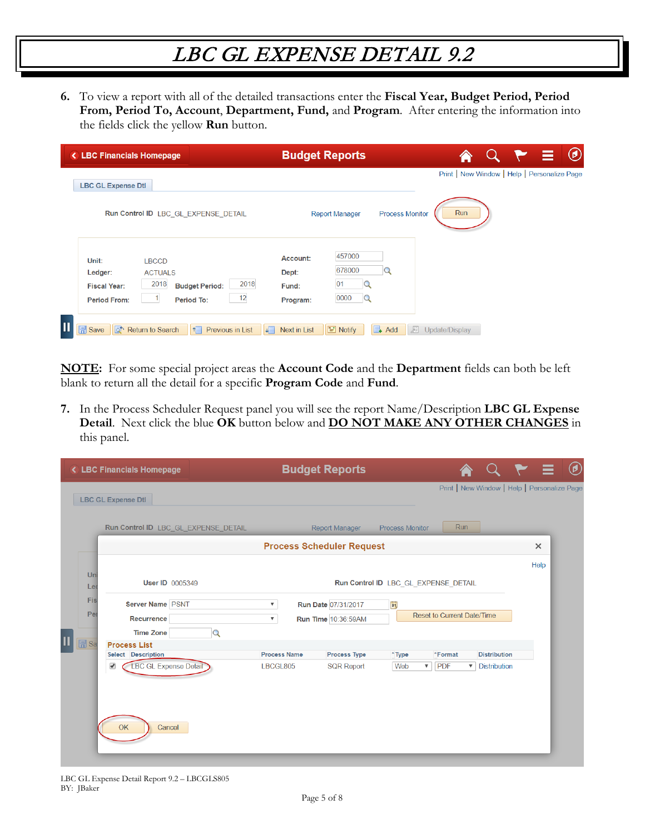**6.** To view a report with all of the detailed transactions enter the **Fiscal Year, Budget Period, Period From, Period To, Account**, **Department, Fund,** and **Program**. After entering the information into the fields click the yellow **Run** button.

| <b>&lt; LBC Financials Homepage</b>                                                                                                                           | <b>Budget Reports</b>                                                          | $\circledcirc$<br>- 21                       |
|---------------------------------------------------------------------------------------------------------------------------------------------------------------|--------------------------------------------------------------------------------|----------------------------------------------|
| <b>LBC GL Expense Dtl</b>                                                                                                                                     |                                                                                | Print   New Window   Help   Personalize Page |
| Run Control ID LBC GL EXPENSE DETAIL                                                                                                                          | <b>Report Manager</b><br><b>Process Monitor</b>                                | Run                                          |
| Unit:<br><b>LBCCD</b><br>Ledger:<br><b>ACTUALS</b><br>2018<br>2018<br><b>Budget Period:</b><br><b>Fiscal Year:</b><br>12<br><b>Period From:</b><br>Period To: | 457000<br>Account:<br>678000<br>Dept:<br> 01<br>Fund:<br>0000<br>Q<br>Program: |                                              |
| $\overline{\mathbf{u}}$<br>$\mathbb{F}$ Save<br>Return to Search<br>Previous in List<br>lat.<br><b>JEI</b><br>$\uparrow$                                      | I Notify<br>廻<br>Next in List<br>$\Box$ Add                                    | Update/Display                               |

**NOTE:** For some special project areas the **Account Code** and the **Department** fields can both be left blank to return all the detail for a specific **Program Code** and **Fund**.

**7.** In the Process Scheduler Request panel you will see the report Name/Description **LBC GL Expense Detail**. Next click the blue **OK** button below and **DO NOT MAKE ANY OTHER CHANGES** in this panel.

|                            | < LBC Financials Homepage                                                      | <b>Budget Reports</b>                                                                                     |                                                                                                                                               |          |
|----------------------------|--------------------------------------------------------------------------------|-----------------------------------------------------------------------------------------------------------|-----------------------------------------------------------------------------------------------------------------------------------------------|----------|
|                            | <b>LBC GL Expense Dtl</b>                                                      |                                                                                                           | Print   New Window   Help   Personalize Page                                                                                                  |          |
|                            | Run Control ID LBC GL EXPENSE DETAIL                                           | <b>Report Manager</b>                                                                                     | Run<br><b>Process Monitor</b>                                                                                                                 |          |
|                            |                                                                                | <b>Process Scheduler Request</b>                                                                          |                                                                                                                                               | $\times$ |
| Un<br>Lei                  | <b>User ID 0005349</b>                                                         |                                                                                                           | Run Control ID LBC_GL_EXPENSE_DETAIL                                                                                                          | Help     |
| Fis<br>Per                 | Server Name PSNT<br>Recurrence<br><b>Time Zone</b><br>$\mathsf Q$              | <b>Run Date 07/31/2017</b><br>$\boldsymbol{\mathrm{v}}$<br>Run Time 10:36:59AM<br>$\overline{\mathbf{v}}$ | H <br>Reset to Current Date/Time                                                                                                              |          |
| $\overline{\mathbb{H}}$ Sa | <b>Process List</b><br>Select Description<br><b>LBC GL Expense Detail</b><br>✔ | <b>Process Name</b><br>Process Type<br>LBCGL805<br><b>SQR Report</b>                                      | <b>Distribution</b><br>*Type<br>*Format<br>Web<br><b>PDF</b><br><b>Distribution</b><br>$\boldsymbol{\mathrm{v}}$<br>$\boldsymbol{\mathrm{v}}$ |          |
|                            | OK<br>Cancel                                                                   |                                                                                                           |                                                                                                                                               |          |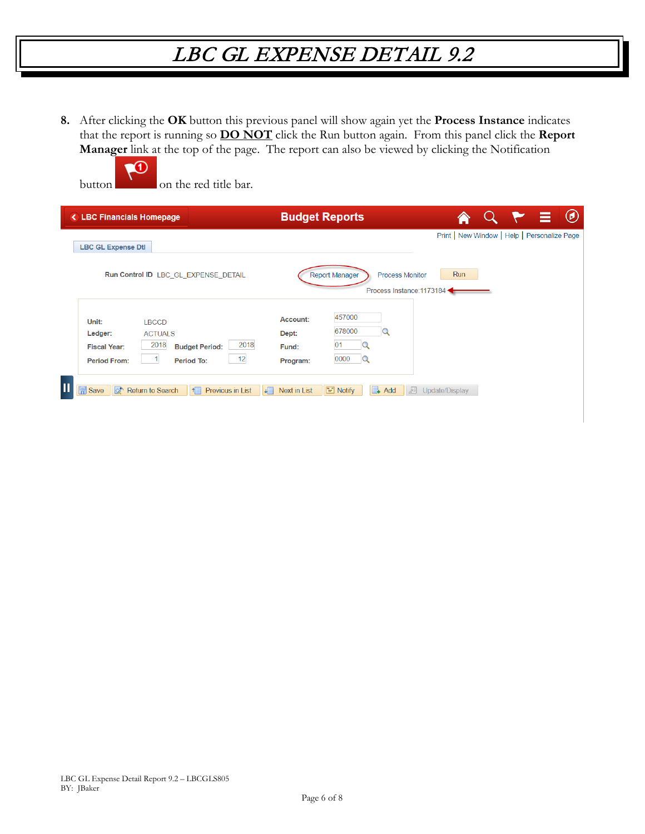**8.** After clicking the **OK** button this previous panel will show again yet the **Process Instance** indicates that the report is running so **DO NOT** click the Run button again. From this panel click the **Report Manager** link at the top of the page. The report can also be viewed by clicking the Notification

| < LBC Financials Homepage                                                                                                                                     | <b>Budget Reports</b>                                                              | $\odot$<br>Ξ                                               |
|---------------------------------------------------------------------------------------------------------------------------------------------------------------|------------------------------------------------------------------------------------|------------------------------------------------------------|
| <b>LBC GL Expense Dtl</b>                                                                                                                                     |                                                                                    | Print   New Window   Help   Personalize Page               |
| Run Control ID LBC_GL_EXPENSE_DETAIL                                                                                                                          | <b>Report Manager</b>                                                              | Run<br><b>Process Monitor</b><br>Process Instance: 1173184 |
| Unit:<br><b>LBCCD</b><br>Ledger:<br><b>ACTUALS</b><br>2018<br>2018<br><b>Budget Period:</b><br><b>Fiscal Year:</b><br>12<br><b>Period From:</b><br>Period To: | 457000<br>Account:<br>678000<br>Q<br>Dept:<br>01<br>Fund:<br>0000<br>Q<br>Program: |                                                            |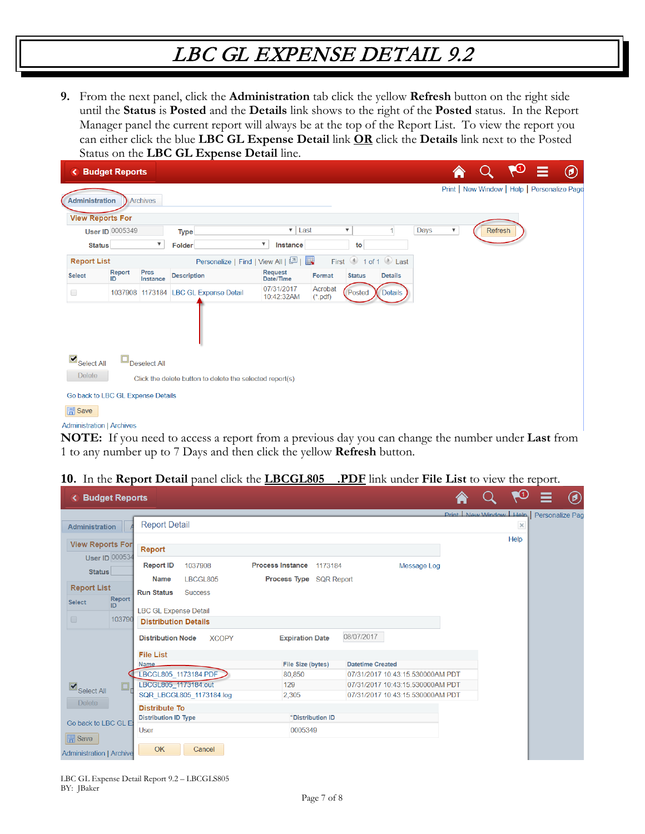**9.** From the next panel, click the **Administration** tab click the yellow **Refresh** button on the right side until the **Status** is **Posted** and the **Details** link shows to the right of the **Posted** status. In the Report Manager panel the current report will always be at the top of the Report List. To view the report you can either click the blue **LBC GL Expense Detail** link **OR** click the **Details** link next to the Posted Status on the **LBC GL Expense Detail** line.

| ≺                                 | <b>Budget Reports</b>  |                         |                                                          |                                   |                                   |                      |               |                     |      |                           |                                              | Ю | ≡ | $^\circledR$ |
|-----------------------------------|------------------------|-------------------------|----------------------------------------------------------|-----------------------------------|-----------------------------------|----------------------|---------------|---------------------|------|---------------------------|----------------------------------------------|---|---|--------------|
| <b>Administration</b>             |                        | <b>Archives</b>         |                                                          |                                   |                                   |                      |               |                     |      |                           | Print   New Window   Help   Personalize Page |   |   |              |
| <b>View Reports For</b>           |                        |                         |                                                          |                                   |                                   |                      |               |                     |      |                           |                                              |   |   |              |
|                                   | <b>User ID 0005349</b> |                         | <b>Type</b>                                              |                                   | Last<br>$\boldsymbol{\mathrm{v}}$ |                      | ▼             |                     | Days | $\boldsymbol{\mathrm{v}}$ | Refresh                                      |   |   |              |
| <b>Status</b>                     |                        | $\overline{\mathbf{v}}$ | Folder                                                   | $\overline{\mathbf{v}}$           | Instance                          |                      | to            |                     |      |                           |                                              |   |   |              |
| <b>Report List</b>                |                        |                         |                                                          | Personalize   Find   View All   2 |                                   | Ex.                  |               | First 1 of 1 D Last |      |                           |                                              |   |   |              |
| <b>Select</b>                     | Report<br>ID           | <b>Prcs</b><br>Instance | <b>Description</b>                                       |                                   | <b>Request</b><br>Date/Time       | Format               | <b>Status</b> | <b>Details</b>      |      |                           |                                              |   |   |              |
| $\Box$                            |                        |                         | 1037908 1173184 LBC GL Expense Detail                    |                                   | 07/31/2017<br>10:42:32AM          | Acrobat<br>$(*.pdf)$ | Posted        | <b>Details</b>      |      |                           |                                              |   |   |              |
|                                   |                        |                         |                                                          |                                   |                                   |                      |               |                     |      |                           |                                              |   |   |              |
| $\blacksquare$ Select All         |                        | Deselect All            |                                                          |                                   |                                   |                      |               |                     |      |                           |                                              |   |   |              |
| <b>Delete</b>                     |                        |                         | Click the delete button to delete the selected report(s) |                                   |                                   |                      |               |                     |      |                           |                                              |   |   |              |
| Go back to LBC GL Expense Details |                        |                         |                                                          |                                   |                                   |                      |               |                     |      |                           |                                              |   |   |              |
| <b>同</b> Save                     |                        |                         |                                                          |                                   |                                   |                      |               |                     |      |                           |                                              |   |   |              |
| <b>Administration   Archives</b>  |                        |                         |                                                          |                                   |                                   |                      |               |                     |      |                           |                                              |   |   |              |

**NOTE:** If you need to access a report from a previous day you can change the number under **Last** from 1 to any number up to 7 Days and then click the yellow **Refresh** button.

#### **10.** In the **Report Detail** panel click the **LBCGL805 .PDF** link under **File List** to view the report.

| <b>Budget Reports</b>                                      |                                                                |                                      |                                                                      | LU)                                     | $\circledast$   |
|------------------------------------------------------------|----------------------------------------------------------------|--------------------------------------|----------------------------------------------------------------------|-----------------------------------------|-----------------|
| Administration                                             | <b>Report Detail</b>                                           |                                      |                                                                      | Print   New Window   Help  <br>$\times$ | Personalize Pag |
| <b>View Reports For</b>                                    | Report                                                         |                                      |                                                                      | Help                                    |                 |
| <b>User ID 000534</b><br><b>Status</b>                     | <b>Report ID</b><br>1037908                                    | <b>Process Instance</b><br>1173184   | Message Log                                                          |                                         |                 |
| <b>Report List</b><br><b>Report</b><br><b>Select</b><br>ID | <b>Name</b><br>LBCGL805<br><b>Run Status</b><br><b>Success</b> | Process Type SQR Report              |                                                                      |                                         |                 |
| $\Box$<br>103790                                           | <b>LBC GL Expense Detail</b><br><b>Distribution Details</b>    |                                      |                                                                      |                                         |                 |
|                                                            | <b>Distribution Node</b><br><b>XCOPY</b><br><b>File List</b>   | 08/07/2017<br><b>Expiration Date</b> |                                                                      |                                         |                 |
|                                                            | <b>Name</b><br>LBCGL805_1173184.PDF                            | <b>File Size (bytes)</b><br>80.850   | <b>Datetime Created</b><br>07/31/2017 10:43:15.530000AM PDT          |                                         |                 |
| $\square$<br>$\blacksquare$ Select All                     | LBCGL805 1173184.out<br>SQR LBCGL805 1173184.log               | 129<br>2,305                         | 07/31/2017 10:43:15.530000AM PDT<br>07/31/2017 10:43:15.530000AM PDT |                                         |                 |
| <b>Delete</b><br>Go back to LBC GL E                       | <b>Distribute To</b><br><b>Distribution ID Type</b>            | *Distribution ID                     |                                                                      |                                         |                 |
| $\mathbb{R}$ Save                                          | <b>User</b>                                                    | 0005349                              |                                                                      |                                         |                 |
| <b>Administration   Archive</b>                            | <b>OK</b><br>Cancel                                            |                                      |                                                                      |                                         |                 |